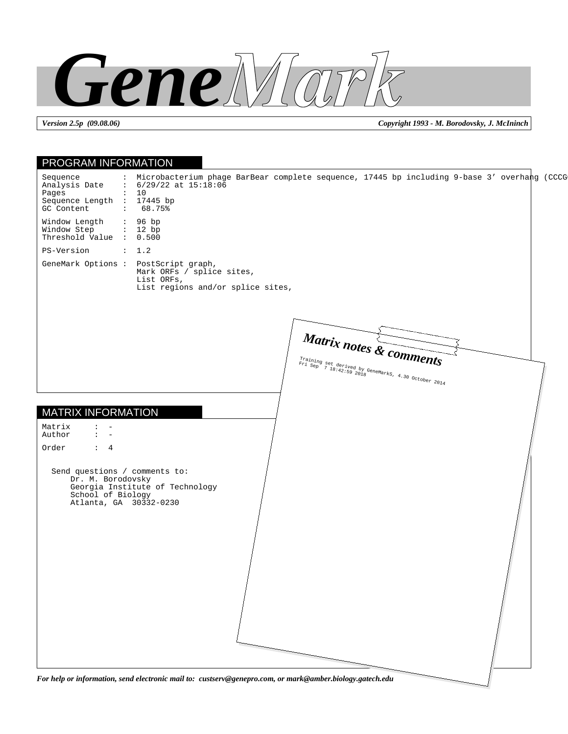

*Version 2.5p (09.08.06) Copyright 1993 - M. Borodovsky, J. McIninch*

| Sequence<br>Analysis Date<br>$: 6/29/22$ at $15:18:06$<br>: 10<br>Pages<br>Sequence Length : 17445 bp<br>GC Content<br>68.75%<br>$\sim 100$<br>Window Length<br>: 96 bp<br>: 12 bp<br>Window Step<br>Threshold Value : 0.500<br>PS-Version<br>: 1.2<br>GeneMark Options : PostScript graph,<br>Mark ORFs / splice sites,<br>List ORFs,<br>List regions and/or splice sites,<br>Matrix notes & comments<br>Training set derived by GeneMarks, 4.30 October 2014<br>Fri Sep 7 18:42:59 2018<br><b>MATRIX INFORMATION</b><br>Matrix<br>$\ddot{\phantom{a}}$<br>Author<br>$\sim$<br>$\overline{a}$<br>Order<br>$\therefore$ 4<br>Send questions / comments to:<br>Dr. M. Borodovsky<br>Georgia Institute of Technology<br>School of Biology<br>Atlanta, GA 30332-0230 | : Microbacterium phage BarBear complete sequence, 17445 bp including 9-base 3' overhang (CCCG<br>For help or information, send electronic mail to: custserv@genepro.com, or mark@amber.biology.gatech.edu |
|-------------------------------------------------------------------------------------------------------------------------------------------------------------------------------------------------------------------------------------------------------------------------------------------------------------------------------------------------------------------------------------------------------------------------------------------------------------------------------------------------------------------------------------------------------------------------------------------------------------------------------------------------------------------------------------------------------------------------------------------------------------------|-----------------------------------------------------------------------------------------------------------------------------------------------------------------------------------------------------------|
|                                                                                                                                                                                                                                                                                                                                                                                                                                                                                                                                                                                                                                                                                                                                                                   |                                                                                                                                                                                                           |
|                                                                                                                                                                                                                                                                                                                                                                                                                                                                                                                                                                                                                                                                                                                                                                   |                                                                                                                                                                                                           |
|                                                                                                                                                                                                                                                                                                                                                                                                                                                                                                                                                                                                                                                                                                                                                                   |                                                                                                                                                                                                           |
|                                                                                                                                                                                                                                                                                                                                                                                                                                                                                                                                                                                                                                                                                                                                                                   |                                                                                                                                                                                                           |
|                                                                                                                                                                                                                                                                                                                                                                                                                                                                                                                                                                                                                                                                                                                                                                   |                                                                                                                                                                                                           |
|                                                                                                                                                                                                                                                                                                                                                                                                                                                                                                                                                                                                                                                                                                                                                                   |                                                                                                                                                                                                           |
|                                                                                                                                                                                                                                                                                                                                                                                                                                                                                                                                                                                                                                                                                                                                                                   |                                                                                                                                                                                                           |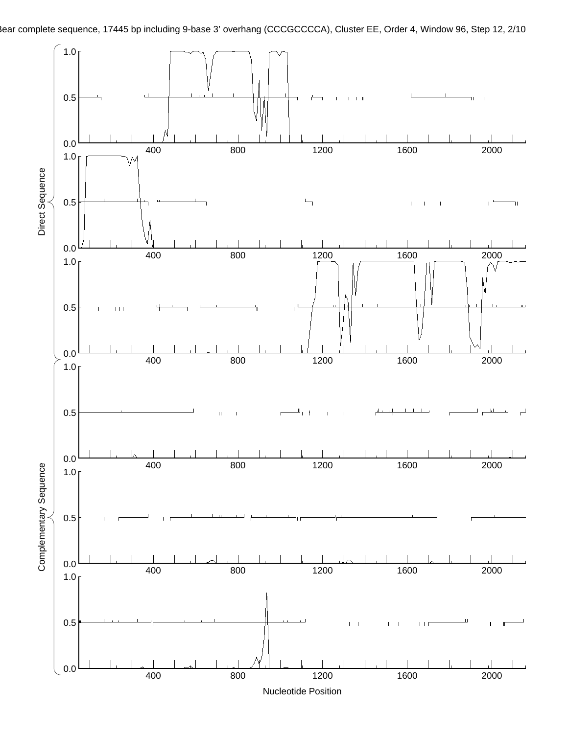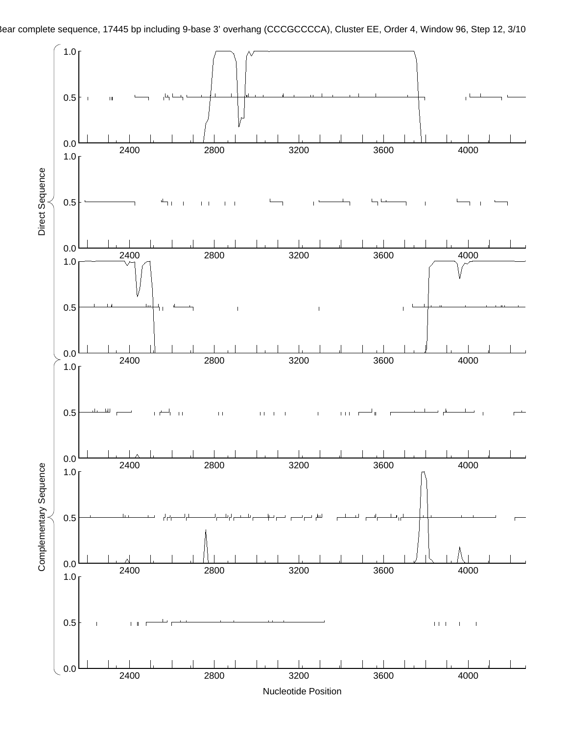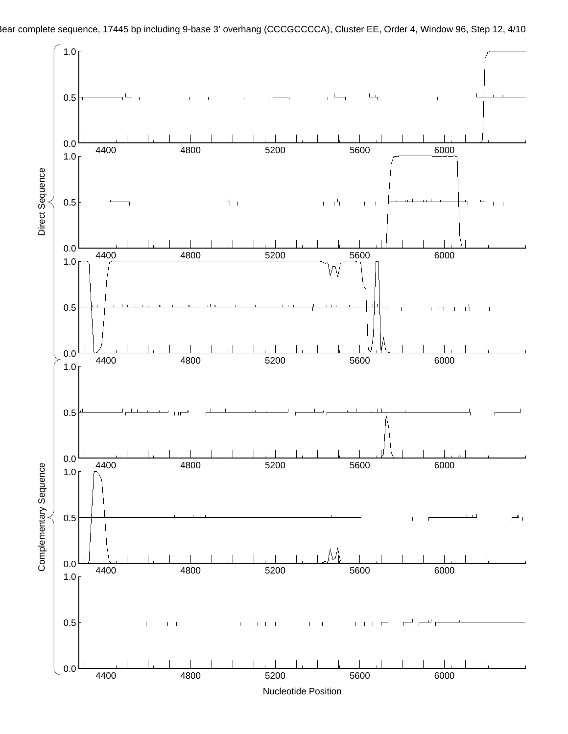

Rear complete sequence, 17445 bp including 9-base 3' overhang (CCCGCCCCA), Cluster EE, Order 4, Window 96, Step 12, 4/10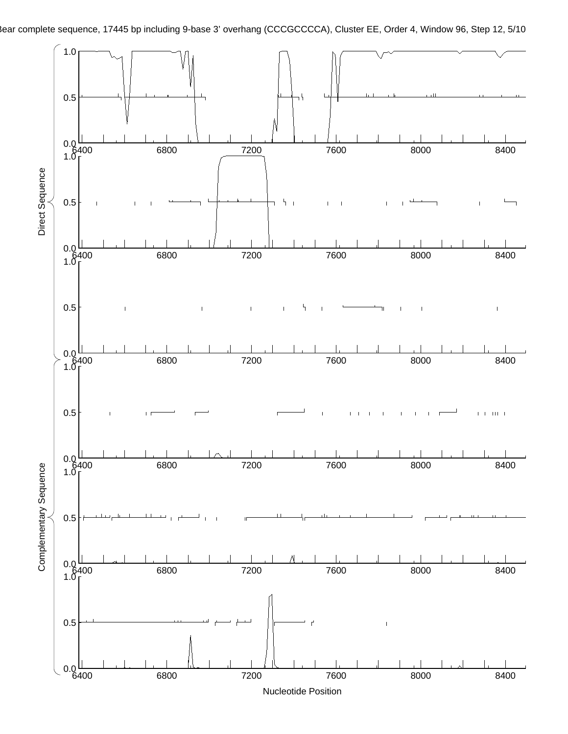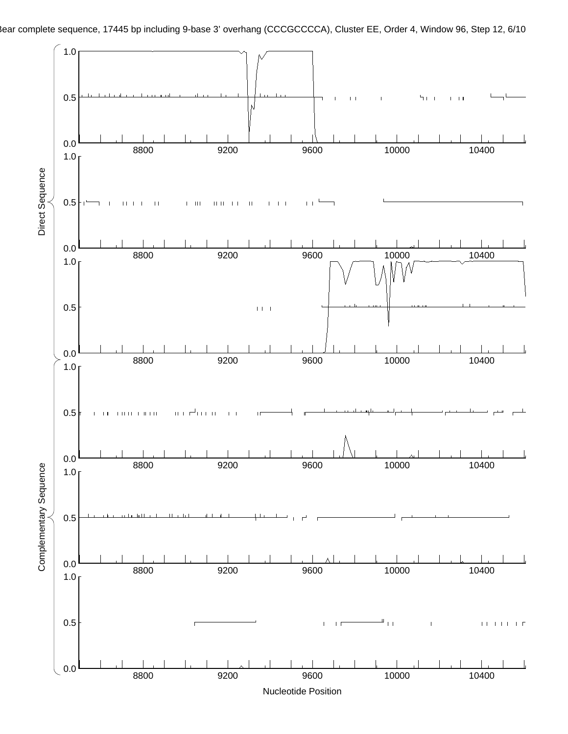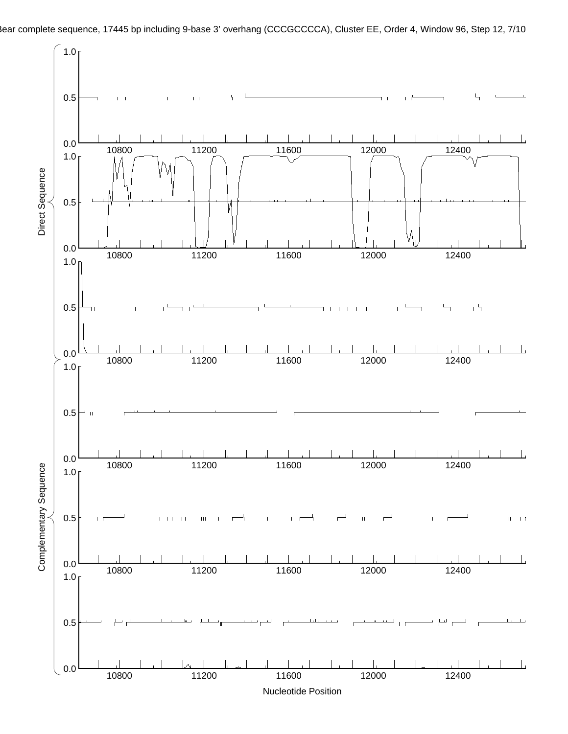

ear complete sequence, 17445 bp including 9-base 3' overhang (CCCGCCCCA), Cluster EE, Order 4, Window 96, Step 12, 7/10

Nucleotide Position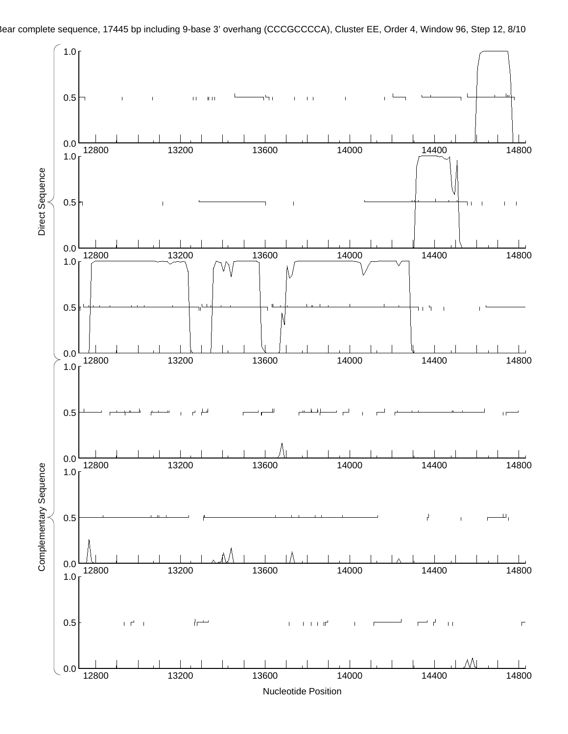

ear complete sequence, 17445 bp including 9-base 3' overhang (CCCGCCCCA), Cluster EE, Order 4, Window 96, Step 12, 8/10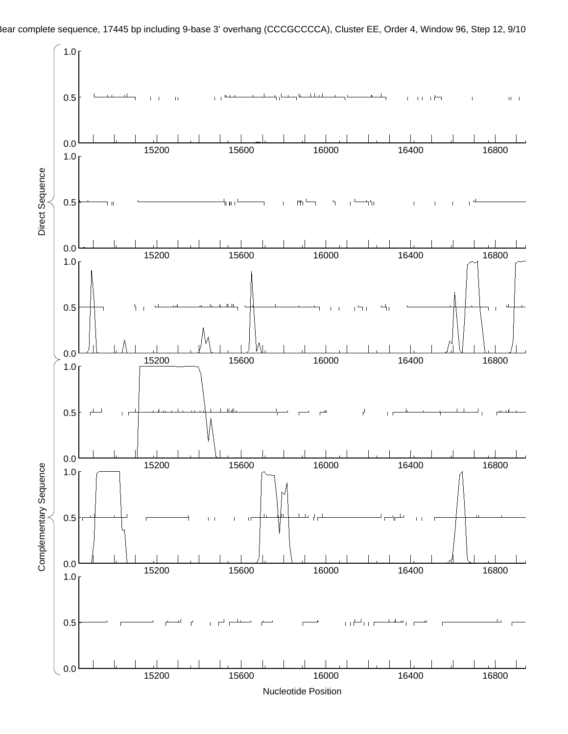

ear complete sequence, 17445 bp including 9-base 3' overhang (CCCGCCCCA), Cluster EE, Order 4, Window 96, Step 12, 9/10

Nucleotide Position